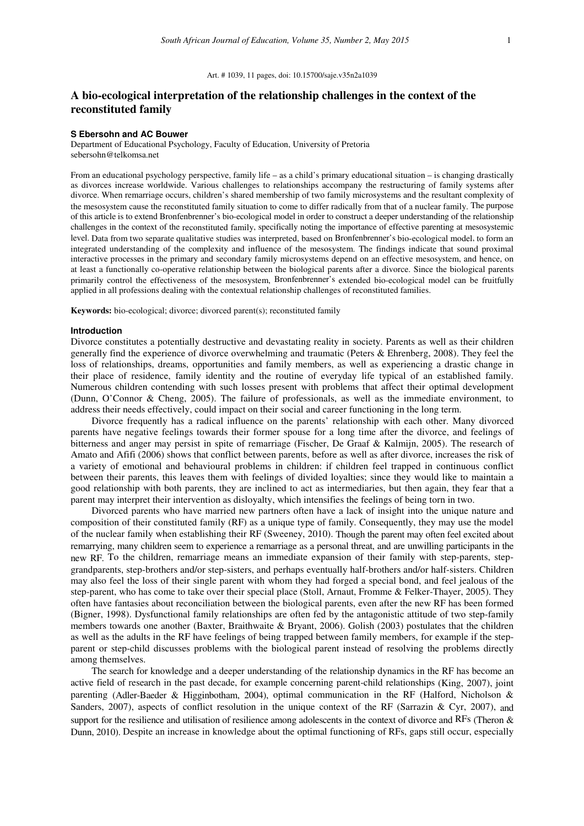## Art. # 1039, 11 pages, doi: 10.15700/saje.v35n2a1039

## **A bio-ecological interpretation of the relationship challenges in the context of the reconstituted family**

#### **S Ebersohn and AC Bouwer**

Department of Educational Psychology, Faculty of Education, University of Pretoria sebersohn@telkomsa.net

From an educational psychology perspective, family life – as a child's primary educational situation – is changing drastically as divorces increase worldwide. Various challenges to relationships accompany the restructuring of family systems after divorce. When remarriage occurs, children's shared membership of two family microsystems and the resultant complexity of the mesosystem cause the reconstituted family situation to come to differ radically from that of a nuclear family. The purpose of this article is to extend Bronfenbrenner's bio-ecological model in order to construct a deeper understanding of the relationship challenges in the context of the reconstituted family, specifically noting the importance of effective parenting at mesosystemic level. Data from two separate qualitative studies was interpreted, based on Bronfenbrenner's bio-ecological model, to form an integrated understanding of the complexity and influence of the mesosystem. The findings indicate that sound proximal interactive processes in the primary and secondary family microsystems depend on an effective mesosystem, and hence, on at least a functionally co-operative relationship between the biological parents after a divorce. Since the biological parents primarily control the effectiveness of the mesosystem, Bronfenbrenner's extended bio-ecological model can be fruitfully applied in all professions dealing with the contextual relationship challenges of reconstituted families.

**Keywords:** bio-ecological; divorce; divorced parent(s); reconstituted family

### **Introduction**

Divorce constitutes a potentially destructive and devastating reality in society. Parents as well as their children generally find the experience of divorce overwhelming and traumatic (Peters & Ehrenberg, 2008). They feel the loss of relationships, dreams, opportunities and family members, as well as experiencing a drastic change in their place of residence, family identity and the routine of everyday life typical of an established family. Numerous children contending with such losses present with problems that affect their optimal development (Dunn, O'Connor & Cheng, 2005). The failure of professionals, as well as the immediate environment, to address their needs effectively, could impact on their social and career functioning in the long term.

Divorce frequently has a radical influence on the parents' relationship with each other. Many divorced parents have negative feelings towards their former spouse for a long time after the divorce, and feelings of bitterness and anger may persist in spite of remarriage (Fischer, De Graaf & Kalmijn, 2005). The research of Amato and Afifi (2006) shows that conflict between parents, before as well as after divorce, increases the risk of a variety of emotional and behavioural problems in children: if children feel trapped in continuous conflict between their parents, this leaves them with feelings of divided loyalties; since they would like to maintain a good relationship with both parents, they are inclined to act as intermediaries, but then again, they fear that a parent may interpret their intervention as disloyalty, which intensifies the feelings of being torn in two.

Divorced parents who have married new partners often have a lack of insight into the unique nature and composition of their constituted family (RF) as a unique type of family. Consequently, they may use the model of the nuclear family when establishing their RF (Sweeney, 2010). Though the parent may often feel excited about remarrying, many children seem to experience a remarriage as a personal threat, and are unwilling participants in the new RF. To the children, remarriage means an immediate expansion of their family with step-parents, stepgrandparents, step-brothers and/or step-sisters, and perhaps eventually half-brothers and/or half-sisters. Children may also feel the loss of their single parent with whom they had forged a special bond, and feel jealous of the step-parent, who has come to take over their special place (Stoll, Arnaut, Fromme & Felker-Thayer, 2005). They often have fantasies about reconciliation between the biological parents, even after the new RF has been formed (Bigner, 1998). Dysfunctional family relationships are often fed by the antagonistic attitude of two step-family members towards one another (Baxter, Braithwaite & Bryant, 2006). Golish (2003) postulates that the children as well as the adults in the RF have feelings of being trapped between family members, for example if the stepparent or step-child discusses problems with the biological parent instead of resolving the problems directly among themselves.

The search for knowledge and a deeper understanding of the relationship dynamics in the RF has become an active field of research in the past decade, for example concerning parent-child relationships (King, 2007), joint parenting (Adler-Baeder & Higginbotham, 2004), optimal communication in the RF (Halford, Nicholson & Sanders, 2007), aspects of conflict resolution in the unique context of the RF (Sarrazin & Cyr, 2007), and support for the resilience and utilisation of resilience among adolescents in the context of divorce and RFs (Theron & Dunn, 2010). Despite an increase in knowledge about the optimal functioning of RFs, gaps still occur, especially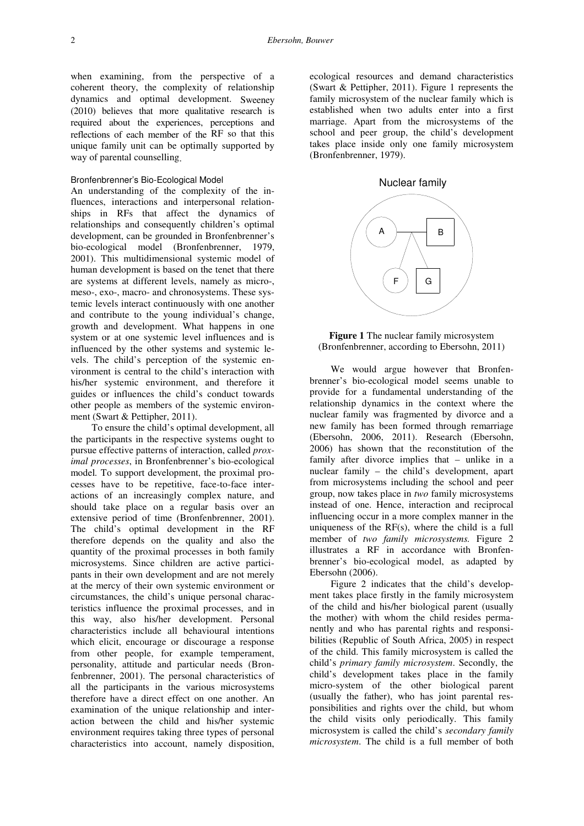when examining, from the perspective of a coherent theory, the complexity of relationship dynamics and optimal development. Sweeney (2010) believes that more qualitative research is required about the experiences, perceptions and reflections of each member of the RF so that this unique family unit can be optimally supported by way of parental counselling.

## Bronfenbrenner's Bio-Ecological Model

An understanding of the complexity of the influences, interactions and interpersonal relationships in RFs that affect the dynamics of relationships and consequently children's optimal development, can be grounded in Bronfenbrenner's bio-ecological model (Bronfenbrenner, 1979, 2001). This multidimensional systemic model of human development is based on the tenet that there are systems at different levels, namely as micro-, meso-, exo-, macro- and chronosystems. These systemic levels interact continuously with one another and contribute to the young individual's change, growth and development. What happens in one system or at one systemic level influences and is influenced by the other systems and systemic levels. The child's perception of the systemic environment is central to the child's interaction with his/her systemic environment, and therefore it guides or influences the child's conduct towards other people as members of the systemic environment (Swart & Pettipher, 2011).

To ensure the child's optimal development, all the participants in the respective systems ought to pursue effective patterns of interaction, called *proximal processes*, in Bronfenbrenner's bio-ecological model*.* To support development, the proximal processes have to be repetitive, face-to-face interactions of an increasingly complex nature, and should take place on a regular basis over an extensive period of time (Bronfenbrenner, 2001). The child's optimal development in the RF therefore depends on the quality and also the quantity of the proximal processes in both family microsystems. Since children are active participants in their own development and are not merely at the mercy of their own systemic environment or circumstances, the child's unique personal characteristics influence the proximal processes, and in this way, also his/her development. Personal characteristics include all behavioural intentions which elicit, encourage or discourage a response from other people, for example temperament, personality, attitude and particular needs (Bronfenbrenner, 2001). The personal characteristics of all the participants in the various microsystems therefore have a direct effect on one another. An examination of the unique relationship and interaction between the child and his/her systemic environment requires taking three types of personal characteristics into account, namely disposition,

ecological resources and demand characteristics (Swart & Pettipher, 2011). Figure 1 represents the family microsystem of the nuclear family which is established when two adults enter into a first marriage. Apart from the microsystems of the school and peer group, the child's development takes place inside only one family microsystem (Bronfenbrenner, 1979).

Nuclear family



## **Figure 1** The nuclear family microsystem (Bronfenbrenner, according to Ebersohn, 2011)

We would argue however that Bronfenbrenner's bio-ecological model seems unable to provide for a fundamental understanding of the relationship dynamics in the context where the nuclear family was fragmented by divorce and a new family has been formed through remarriage (Ebersohn, 2006, 2011). Research (Ebersohn, 2006) has shown that the reconstitution of the family after divorce implies that – unlike in a nuclear family – the child's development, apart from microsystems including the school and peer group, now takes place in *two* family microsystems instead of one. Hence, interaction and reciprocal influencing occur in a more complex manner in the uniqueness of the RF(s), where the child is a full member of *two family microsystems.* Figure 2 illustrates a RF in accordance with Bronfenbrenner's bio-ecological model, as adapted by Ebersohn (2006).

Figure 2 indicates that the child's development takes place firstly in the family microsystem of the child and his/her biological parent (usually the mother) with whom the child resides permanently and who has parental rights and responsibilities (Republic of South Africa, 2005) in respect of the child. This family microsystem is called the child's *primary family microsystem*. Secondly, the child's development takes place in the family micro-system of the other biological parent (usually the father), who has joint parental responsibilities and rights over the child, but whom the child visits only periodically. This family microsystem is called the child's *secondary family microsystem*. The child is a full member of both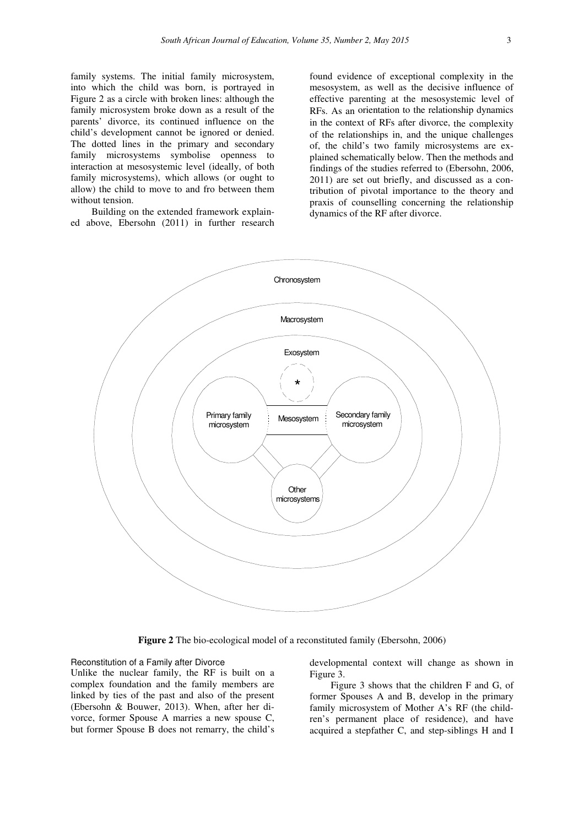family systems. The initial family microsystem, into which the child was born, is portrayed in Figure 2 as a circle with broken lines: although the family microsystem broke down as a result of the parents' divorce, its continued influence on the child's development cannot be ignored or denied. The dotted lines in the primary and secondary family microsystems symbolise openness to interaction at mesosystemic level (ideally, of both family microsystems), which allows (or ought to allow) the child to move to and fro between them without tension.

Building on the extended framework explained above, Ebersohn (2011) in further research found evidence of exceptional complexity in the mesosystem, as well as the decisive influence of effective parenting at the mesosystemic level of RFs. As an orientation to the relationship dynamics in the context of RFs after divorce, the complexity of the relationships in, and the unique challenges of, the child's two family microsystems are explained schematically below. Then the methods and findings of the studies referred to (Ebersohn, 2006, 2011) are set out briefly, and discussed as a contribution of pivotal importance to the theory and praxis of counselling concerning the relationship dynamics of the RF after divorce.



**Figure 2** The bio-ecological model of a reconstituted family (Ebersohn, 2006)

Reconstitution of a Family after Divorce

Unlike the nuclear family, the RF is built on a complex foundation and the family members are linked by ties of the past and also of the present (Ebersohn & Bouwer, 2013). When, after her divorce, former Spouse A marries a new spouse C, but former Spouse B does not remarry, the child's developmental context will change as shown in Figure 3.

Figure 3 shows that the children F and G, of former Spouses A and B, develop in the primary family microsystem of Mother A's RF (the children's permanent place of residence), and have acquired a stepfather C, and step-siblings H and I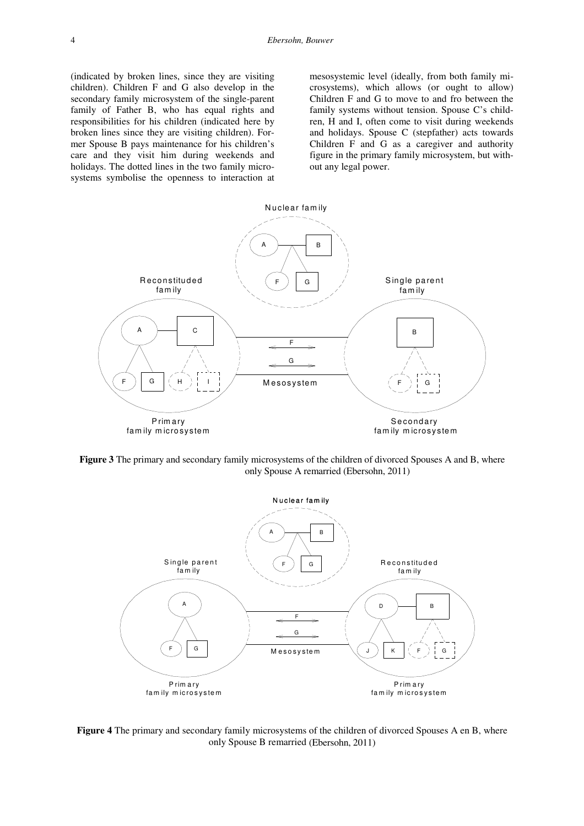(indicated by broken lines, since they are visiting children). Children F and G also develop in the secondary family microsystem of the single-parent family of Father B, who has equal rights and responsibilities for his children (indicated here by broken lines since they are visiting children). Former Spouse B pays maintenance for his children's care and they visit him during weekends and holidays. The dotted lines in the two family microsystems symbolise the openness to interaction at mesosystemic level (ideally, from both family microsystems), which allows (or ought to allow) Children F and G to move to and fro between the family systems without tension. Spouse C's children, H and I, often come to visit during weekends and holidays. Spouse C (stepfather) acts towards Children F and G as a caregiver and authority figure in the primary family microsystem, but without any legal power.



**Figure 3** The primary and secondary family microsystems of the children of divorced Spouses A and B, where only Spouse A remarried (Ebersohn, 2011)



**Figure 4** The primary and secondary family microsystems of the children of divorced Spouses A en B, where only Spouse B remarried (Ebersohn, 2011)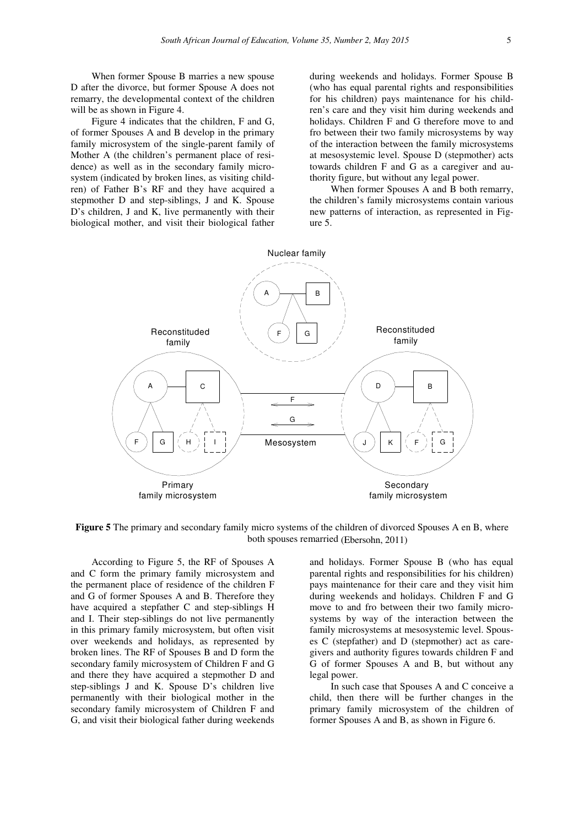When former Spouse B marries a new spouse D after the divorce, but former Spouse A does not remarry, the developmental context of the children will be as shown in Figure 4.

Figure 4 indicates that the children, F and G, of former Spouses A and B develop in the primary family microsystem of the single-parent family of Mother A (the children's permanent place of residence) as well as in the secondary family microsystem (indicated by broken lines, as visiting children) of Father B's RF and they have acquired a stepmother D and step-siblings, J and K. Spouse D's children, J and K, live permanently with their biological mother, and visit their biological father during weekends and holidays. Former Spouse B (who has equal parental rights and responsibilities for his children) pays maintenance for his children's care and they visit him during weekends and holidays. Children F and G therefore move to and fro between their two family microsystems by way of the interaction between the family microsystems at mesosystemic level. Spouse D (stepmother) acts towards children F and G as a caregiver and authority figure, but without any legal power.

When former Spouses A and B both remarry, the children's family microsystems contain various new patterns of interaction, as represented in Figure 5.



**Figure 5** The primary and secondary family micro systems of the children of divorced Spouses A en B, where both spouses remarried (Ebersohn, 2011)

According to Figure 5, the RF of Spouses A and C form the primary family microsystem and the permanent place of residence of the children F and G of former Spouses A and B. Therefore they have acquired a stepfather C and step-siblings H and I. Their step-siblings do not live permanently in this primary family microsystem, but often visit over weekends and holidays, as represented by broken lines. The RF of Spouses B and D form the secondary family microsystem of Children F and G and there they have acquired a stepmother D and step-siblings J and K. Spouse D's children live permanently with their biological mother in the secondary family microsystem of Children F and G, and visit their biological father during weekends and holidays. Former Spouse B (who has equal parental rights and responsibilities for his children) pays maintenance for their care and they visit him during weekends and holidays. Children F and G move to and fro between their two family microsystems by way of the interaction between the family microsystems at mesosystemic level. Spouses C (stepfather) and D (stepmother) act as caregivers and authority figures towards children F and G of former Spouses A and B, but without any legal power.

In such case that Spouses A and C conceive a child, then there will be further changes in the primary family microsystem of the children of former Spouses A and B, as shown in Figure 6.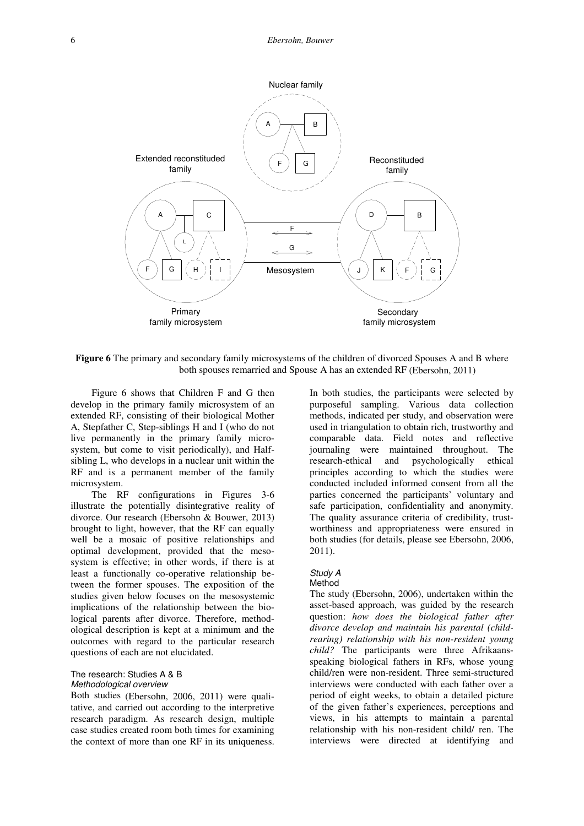

**Figure 6** The primary and secondary family microsystems of the children of divorced Spouses A and B where both spouses remarried and Spouse A has an extended RF (Ebersohn, 2011)

Figure 6 shows that Children F and G then develop in the primary family microsystem of an extended RF, consisting of their biological Mother A, Stepfather C, Step-siblings H and I (who do not live permanently in the primary family microsystem, but come to visit periodically), and Halfsibling L, who develops in a nuclear unit within the RF and is a permanent member of the family microsystem.

The RF configurations in Figures 3-6 illustrate the potentially disintegrative reality of divorce. Our research (Ebersohn & Bouwer, 2013) brought to light, however, that the RF can equally well be a mosaic of positive relationships and optimal development, provided that the mesosystem is effective; in other words, if there is at least a functionally co-operative relationship between the former spouses. The exposition of the studies given below focuses on the mesosystemic implications of the relationship between the biological parents after divorce. Therefore, methodological description is kept at a minimum and the outcomes with regard to the particular research questions of each are not elucidated.

## The research: Studies A & B Methodological overview

Both studies (Ebersohn, 2006, 2011) were qualitative, and carried out according to the interpretive research paradigm. As research design, multiple case studies created room both times for examining the context of more than one RF in its uniqueness.

In both studies, the participants were selected by purposeful sampling. Various data collection methods, indicated per study, and observation were used in triangulation to obtain rich, trustworthy and comparable data. Field notes and reflective journaling were maintained throughout. The research-ethical and psychologically ethical principles according to which the studies were conducted included informed consent from all the parties concerned the participants' voluntary and safe participation, confidentiality and anonymity. The quality assurance criteria of credibility, trustworthiness and appropriateness were ensured in both studies (for details, please see Ebersohn, 2006, 2011).

# Study A

## **Method**

The study (Ebersohn, 2006), undertaken within the asset-based approach, was guided by the research question: *how does the biological father after divorce develop and maintain his parental (childrearing) relationship with his non-resident young child?* The participants were three Afrikaansspeaking biological fathers in RFs, whose young child/ren were non-resident. Three semi-structured interviews were conducted with each father over a period of eight weeks, to obtain a detailed picture of the given father's experiences, perceptions and views, in his attempts to maintain a parental relationship with his non-resident child/ ren. The interviews were directed at identifying and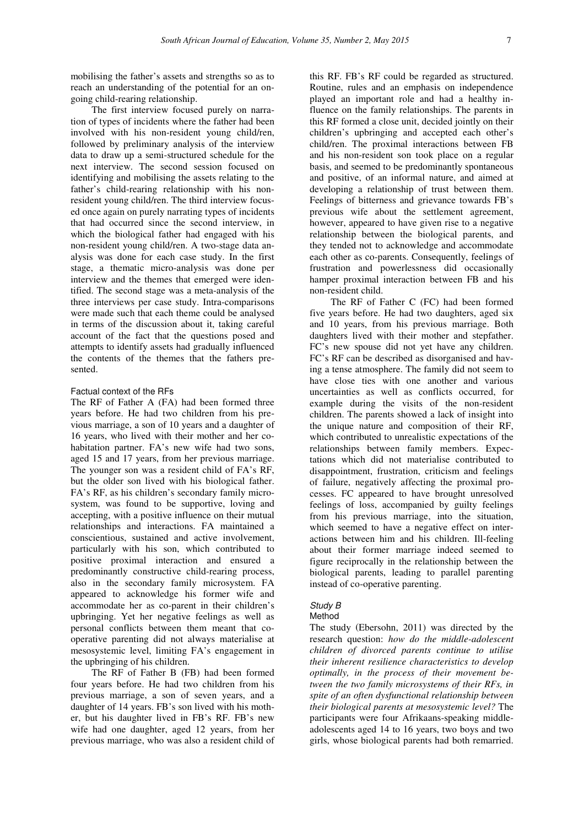mobilising the father's assets and strengths so as to reach an understanding of the potential for an ongoing child-rearing relationship.

The first interview focused purely on narration of types of incidents where the father had been involved with his non-resident young child/ren, followed by preliminary analysis of the interview data to draw up a semi-structured schedule for the next interview. The second session focused on identifying and mobilising the assets relating to the father's child-rearing relationship with his nonresident young child/ren. The third interview focused once again on purely narrating types of incidents that had occurred since the second interview, in which the biological father had engaged with his non-resident young child/ren. A two-stage data analysis was done for each case study. In the first stage, a thematic micro-analysis was done per interview and the themes that emerged were identified. The second stage was a meta-analysis of the three interviews per case study. Intra-comparisons were made such that each theme could be analysed in terms of the discussion about it, taking careful account of the fact that the questions posed and attempts to identify assets had gradually influenced the contents of the themes that the fathers presented.

## Factual context of the RFs

The RF of Father A (FA) had been formed three years before. He had two children from his previous marriage, a son of 10 years and a daughter of 16 years, who lived with their mother and her cohabitation partner. FA's new wife had two sons, aged 15 and 17 years, from her previous marriage. The younger son was a resident child of FA's RF, but the older son lived with his biological father. FA's RF, as his children's secondary family microsystem, was found to be supportive, loving and accepting, with a positive influence on their mutual relationships and interactions. FA maintained a conscientious, sustained and active involvement, particularly with his son, which contributed to positive proximal interaction and ensured a predominantly constructive child-rearing process, also in the secondary family microsystem. FA appeared to acknowledge his former wife and accommodate her as co-parent in their children's upbringing. Yet her negative feelings as well as personal conflicts between them meant that cooperative parenting did not always materialise at mesosystemic level, limiting FA's engagement in the upbringing of his children.

The RF of Father B (FB) had been formed four years before. He had two children from his previous marriage, a son of seven years, and a daughter of 14 years. FB's son lived with his mother, but his daughter lived in FB's RF. FB's new wife had one daughter, aged 12 years, from her previous marriage, who was also a resident child of this RF. FB's RF could be regarded as structured. Routine, rules and an emphasis on independence played an important role and had a healthy influence on the family relationships. The parents in this RF formed a close unit, decided jointly on their children's upbringing and accepted each other's child/ren. The proximal interactions between FB and his non-resident son took place on a regular basis, and seemed to be predominantly spontaneous and positive, of an informal nature, and aimed at developing a relationship of trust between them. Feelings of bitterness and grievance towards FB's previous wife about the settlement agreement, however, appeared to have given rise to a negative relationship between the biological parents, and they tended not to acknowledge and accommodate each other as co-parents. Consequently, feelings of frustration and powerlessness did occasionally hamper proximal interaction between FB and his non-resident child.

The RF of Father C (FC) had been formed five years before. He had two daughters, aged six and 10 years, from his previous marriage. Both daughters lived with their mother and stepfather. FC's new spouse did not yet have any children. FC's RF can be described as disorganised and having a tense atmosphere. The family did not seem to have close ties with one another and various uncertainties as well as conflicts occurred, for example during the visits of the non-resident children. The parents showed a lack of insight into the unique nature and composition of their RF, which contributed to unrealistic expectations of the relationships between family members. Expectations which did not materialise contributed to disappointment, frustration, criticism and feelings of failure, negatively affecting the proximal processes. FC appeared to have brought unresolved feelings of loss, accompanied by guilty feelings from his previous marriage, into the situation, which seemed to have a negative effect on interactions between him and his children. Ill-feeling about their former marriage indeed seemed to figure reciprocally in the relationship between the biological parents, leading to parallel parenting instead of co-operative parenting.

## Study B

#### Method

The study (Ebersohn, 2011) was directed by the research question: *how do the middle-adolescent children of divorced parents continue to utilise their inherent resilience characteristics to develop optimally, in the process of their movement between the two family microsystems of their RFs, in spite of an often dysfunctional relationship between their biological parents at mesosystemic level?* The participants were four Afrikaans-speaking middleadolescents aged 14 to 16 years, two boys and two girls, whose biological parents had both remarried.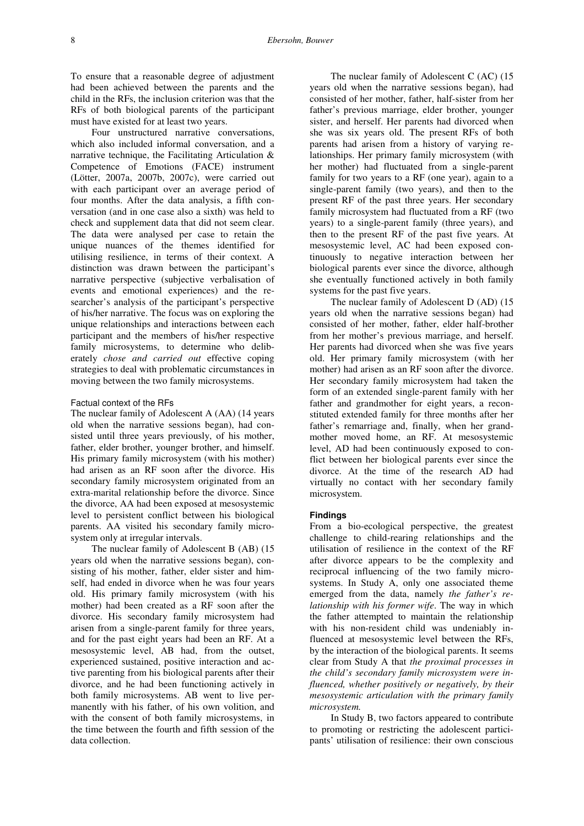To ensure that a reasonable degree of adjustment had been achieved between the parents and the child in the RFs, the inclusion criterion was that the RFs of both biological parents of the participant must have existed for at least two years.

Four unstructured narrative conversations, which also included informal conversation, and a narrative technique, the Facilitating Articulation & Competence of Emotions (FACE) instrument (Lötter, 2007a, 2007b, 2007c), were carried out with each participant over an average period of four months. After the data analysis, a fifth conversation (and in one case also a sixth) was held to check and supplement data that did not seem clear. The data were analysed per case to retain the unique nuances of the themes identified for utilising resilience, in terms of their context. A distinction was drawn between the participant's narrative perspective (subjective verbalisation of events and emotional experiences) and the researcher's analysis of the participant's perspective of his/her narrative. The focus was on exploring the unique relationships and interactions between each participant and the members of his/her respective family microsystems, to determine who deliberately *chose and carried out* effective coping strategies to deal with problematic circumstances in moving between the two family microsystems.

### Factual context of the RFs

The nuclear family of Adolescent A (AA) (14 years old when the narrative sessions began), had consisted until three years previously, of his mother, father, elder brother, younger brother, and himself. His primary family microsystem (with his mother) had arisen as an RF soon after the divorce. His secondary family microsystem originated from an extra-marital relationship before the divorce. Since the divorce, AA had been exposed at mesosystemic level to persistent conflict between his biological parents. AA visited his secondary family microsystem only at irregular intervals.

The nuclear family of Adolescent B (AB) (15 years old when the narrative sessions began), consisting of his mother, father, elder sister and himself, had ended in divorce when he was four years old. His primary family microsystem (with his mother) had been created as a RF soon after the divorce. His secondary family microsystem had arisen from a single-parent family for three years, and for the past eight years had been an RF. At a mesosystemic level, AB had, from the outset, experienced sustained, positive interaction and active parenting from his biological parents after their divorce, and he had been functioning actively in both family microsystems. AB went to live permanently with his father, of his own volition, and with the consent of both family microsystems, in the time between the fourth and fifth session of the data collection.

The nuclear family of Adolescent C (AC) (15 years old when the narrative sessions began), had consisted of her mother, father, half-sister from her father's previous marriage, elder brother, younger sister, and herself. Her parents had divorced when she was six years old. The present RFs of both parents had arisen from a history of varying relationships. Her primary family microsystem (with her mother) had fluctuated from a single-parent family for two years to a RF (one year), again to a single-parent family (two years), and then to the present RF of the past three years. Her secondary family microsystem had fluctuated from a RF (two years) to a single-parent family (three years), and then to the present RF of the past five years. At mesosystemic level, AC had been exposed continuously to negative interaction between her biological parents ever since the divorce, although she eventually functioned actively in both family systems for the past five years.

The nuclear family of Adolescent D (AD) (15 years old when the narrative sessions began) had consisted of her mother, father, elder half-brother from her mother's previous marriage, and herself. Her parents had divorced when she was five years old. Her primary family microsystem (with her mother) had arisen as an RF soon after the divorce. Her secondary family microsystem had taken the form of an extended single-parent family with her father and grandmother for eight years, a reconstituted extended family for three months after her father's remarriage and, finally, when her grandmother moved home, an RF. At mesosystemic level, AD had been continuously exposed to conflict between her biological parents ever since the divorce. At the time of the research AD had virtually no contact with her secondary family microsystem.

## **Findings**

From a bio-ecological perspective, the greatest challenge to child-rearing relationships and the utilisation of resilience in the context of the RF after divorce appears to be the complexity and reciprocal influencing of the two family microsystems. In Study A, only one associated theme emerged from the data, namely *the father's relationship with his former wife*. The way in which the father attempted to maintain the relationship with his non-resident child was undeniably influenced at mesosystemic level between the RFs, by the interaction of the biological parents. It seems clear from Study A that *the proximal processes in the child's secondary family microsystem were influenced, whether positively or negatively, by their mesosystemic articulation with the primary family microsystem.*

In Study B, two factors appeared to contribute to promoting or restricting the adolescent participants' utilisation of resilience: their own conscious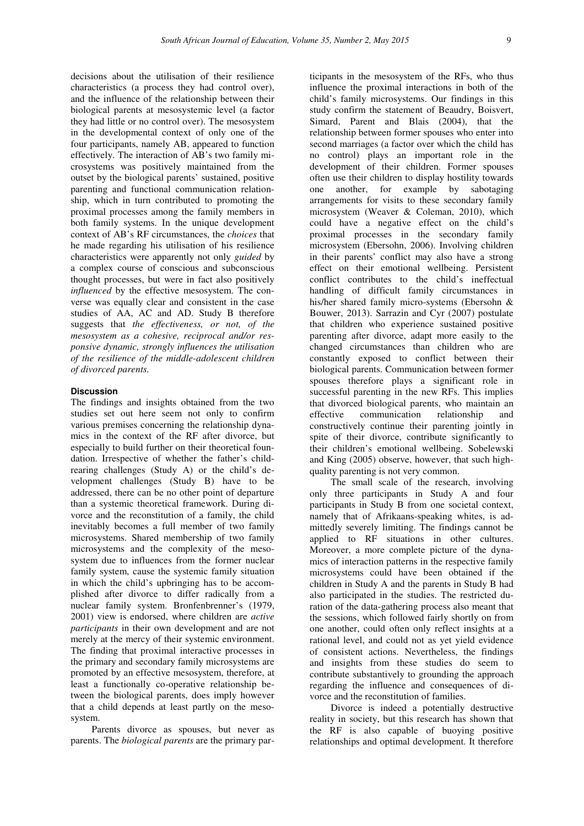decisions about the utilisation of their resilience characteristics (a process they had control over), and the influence of the relationship between their biological parents at mesosystemic level (a factor they had little or no control over). The mesosystem in the developmental context of only one of the four participants, namely AB, appeared to function effectively. The interaction of AB's two family microsystems was positively maintained from the outset by the biological parents' sustained, positive parenting and functional communication relationship, which in turn contributed to promoting the proximal processes among the family members in both family systems. In the unique development context of AB's RF circumstances, the *choices* that he made regarding his utilisation of his resilience characteristics were apparently not only *guided* by a complex course of conscious and subconscious thought processes, but were in fact also positively *influenced* by the effective mesosystem. The converse was equally clear and consistent in the case studies of AA, AC and AD. Study B therefore suggests that *the effectiveness, or not, of the mesosystem as a cohesive, reciprocal and/or responsive dynamic, strongly influences the utilisation of the resilience of the middle-adolescent children of divorced parents.* 

## **Discussion**

The findings and insights obtained from the two studies set out here seem not only to confirm various premises concerning the relationship dynamics in the context of the RF after divorce, but especially to build further on their theoretical foundation. Irrespective of whether the father's childrearing challenges (Study A) or the child's development challenges (Study B) have to be addressed, there can be no other point of departure than a systemic theoretical framework. During divorce and the reconstitution of a family, the child inevitably becomes a full member of two family microsystems. Shared membership of two family microsystems and the complexity of the mesosystem due to influences from the former nuclear family system, cause the systemic family situation in which the child's upbringing has to be accomplished after divorce to differ radically from a nuclear family system. Bronfenbrenner's (1979, 2001) view is endorsed, where children are *active participants* in their own development and are not merely at the mercy of their systemic environment. The finding that proximal interactive processes in the primary and secondary family microsystems are promoted by an effective mesosystem, therefore, at least a functionally co-operative relationship between the biological parents, does imply however that a child depends at least partly on the mesosystem.

Parents divorce as spouses, but never as parents. The *biological parents* are the primary participants in the mesosystem of the RFs, who thus influence the proximal interactions in both of the child's family microsystems. Our findings in this study confirm the statement of Beaudry, Boisvert, Simard, Parent and Blais (2004), that the relationship between former spouses who enter into second marriages (a factor over which the child has no control) plays an important role in the development of their children. Former spouses often use their children to display hostility towards one another, for example by sabotaging arrangements for visits to these secondary family microsystem (Weaver & Coleman, 2010), which could have a negative effect on the child's proximal processes in the secondary family microsystem (Ebersohn, 2006). Involving children in their parents' conflict may also have a strong effect on their emotional wellbeing. Persistent conflict contributes to the child's ineffectual handling of difficult family circumstances in his/her shared family micro-systems (Ebersohn & Bouwer, 2013). Sarrazin and Cyr (2007) postulate that children who experience sustained positive parenting after divorce, adapt more easily to the changed circumstances than children who are constantly exposed to conflict between their biological parents. Communication between former spouses therefore plays a significant role in successful parenting in the new RFs. This implies that divorced biological parents, who maintain an effective communication relationship and constructively continue their parenting jointly in spite of their divorce, contribute significantly to their children's emotional wellbeing. Sobelewski and King (2005) observe, however, that such highquality parenting is not very common.

The small scale of the research, involving only three participants in Study A and four participants in Study B from one societal context, namely that of Afrikaans-speaking whites, is admittedly severely limiting. The findings cannot be applied to RF situations in other cultures. Moreover, a more complete picture of the dynamics of interaction patterns in the respective family microsystems could have been obtained if the children in Study A and the parents in Study B had also participated in the studies. The restricted duration of the data-gathering process also meant that the sessions, which followed fairly shortly on from one another, could often only reflect insights at a rational level, and could not as yet yield evidence of consistent actions. Nevertheless, the findings and insights from these studies do seem to contribute substantively to grounding the approach regarding the influence and consequences of divorce and the reconstitution of families.

Divorce is indeed a potentially destructive reality in society, but this research has shown that the RF is also capable of buoying positive relationships and optimal development. It therefore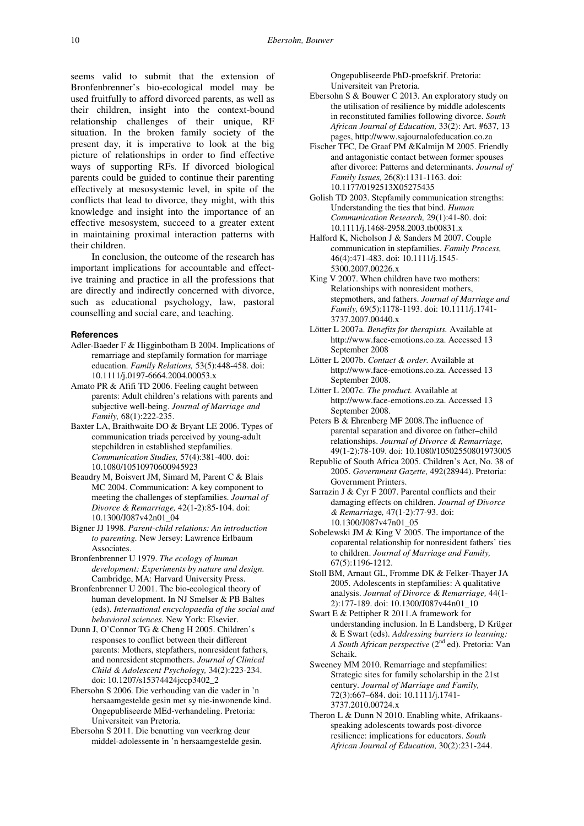seems valid to submit that the extension of Bronfenbrenner's bio-ecological model may be used fruitfully to afford divorced parents, as well as their children, insight into the context-bound relationship challenges of their unique, RF situation. In the broken family society of the present day, it is imperative to look at the big picture of relationships in order to find effective ways of supporting RFs. If divorced biological parents could be guided to continue their parenting effectively at mesosystemic level, in spite of the conflicts that lead to divorce, they might, with this knowledge and insight into the importance of an effective mesosystem, succeed to a greater extent in maintaining proximal interaction patterns with their children.

In conclusion, the outcome of the research has important implications for accountable and effective training and practice in all the professions that are directly and indirectly concerned with divorce, such as educational psychology, law, pastoral counselling and social care, and teaching.

#### **References**

- Adler-Baeder F & Higginbotham B 2004. Implications of remarriage and stepfamily formation for marriage education. *Family Relations,* 53(5):448-458. doi: 10.1111/j.0197-6664.2004.00053.x
- Amato PR & Afifi TD 2006. Feeling caught between parents: Adult children's relations with parents and subjective well-being. *Journal of Marriage and Family,* 68(1):222-235.
- Baxter LA, Braithwaite DO & Bryant LE 2006. Types of communication triads perceived by young-adult stepchildren in established stepfamilies. *Communication Studies,* 57(4):381-400. doi: 10.1080/10510970600945923
- Beaudry M, Boisvert JM, Simard M, Parent C & Blais MC 2004. Communication: A key component to meeting the challenges of stepfamilies. *Journal of Divorce & Remarriage,* 42(1-2):85-104. doi: 10.1300/J087v42n01\_04
- Bigner JJ 1998. *Parent-child relations: An introduction to parenting.* New Jersey: Lawrence Erlbaum Associates.
- Bronfenbrenner U 1979. *The ecology of human development: Experiments by nature and design.*  Cambridge, MA: Harvard University Press.
- Bronfenbrenner U 2001. The bio-ecological theory of human development. In NJ Smelser & PB Baltes (eds). *International encyclopaedia of the social and behavioral sciences.* New York: Elsevier.
- Dunn J, O'Connor TG & Cheng H 2005. Children's responses to conflict between their different parents: Mothers, stepfathers, nonresident fathers, and nonresident stepmothers. *Journal of Clinical Child & Adolescent Psychology,* 34(2):223-234. doi: 10.1207/s15374424jccp3402\_2
- Ebersohn S 2006. Die verhouding van die vader in 'n hersaamgestelde gesin met sy nie-inwonende kind. Ongepubliseerde MEd-verhandeling. Pretoria: Universiteit van Pretoria.
- Ebersohn S 2011. Die benutting van veerkrag deur middel-adolessente in 'n hersaamgestelde gesin*.*

Ongepubliseerde PhD-proefskrif. Pretoria: Universiteit van Pretoria.

- Ebersohn S & Bouwer C 2013. An exploratory study on the utilisation of resilience by middle adolescents in reconstituted families following divorce. *South African Journal of Education,* 33(2): Art. #637, 13 pages, http://www.sajournalofeducation.co.za
- Fischer TFC, De Graaf PM &Kalmijn M 2005. Friendly and antagonistic contact between former spouses after divorce: Patterns and determinants. *Journal of Family Issues,* 26(8):1131-1163. doi: 10.1177/0192513X05275435
- Golish TD 2003. Stepfamily communication strengths: Understanding the ties that bind. *Human Communication Research,* 29(1):41-80. doi: 10.1111/j.1468-2958.2003.tb00831.x
- Halford K, Nicholson J & Sanders M 2007. Couple communication in stepfamilies. *Family Process,* 46(4):471-483. doi: 10.1111/j.1545- 5300.2007.00226.x
- King V 2007. When children have two mothers: Relationships with nonresident mothers, stepmothers, and fathers. *Journal of Marriage and Family,* 69(5):1178-1193. doi: 10.1111/j.1741- 3737.2007.00440.x
- Lötter L 2007a. *Benefits for therapists.* Available at http://www.face-emotions.co.za. Accessed 13 September 2008
- Lötter L 2007b. *Contact & order.* Available at http://www.face-emotions.co.za. Accessed 13 September 2008.
- Lötter L 2007c. *The product.* Available at http://www.face-emotions.co.za. Accessed 13 September 2008.
- Peters B & Ehrenberg MF 2008.The influence of parental separation and divorce on father–child relationships. *Journal of Divorce & Remarriage,*  49(1-2):78-109. doi: 10.1080/10502550801973005
- Republic of South Africa 2005. Children's Act, No. 38 of 2005. *Government Gazette,* 492(28944). Pretoria: Government Printers.

Sarrazin J & Cyr F 2007. Parental conflicts and their damaging effects on children. *Journal of Divorce & Remarriag*e*,* 47(1-2):77-93. doi: 10.1300/J087v47n01\_05

- Sobelewski JM & King V 2005. The importance of the coparental relationship for nonresident fathers' ties to children. *Journal of Marriage and Family,*  67(5):1196-1212.
- Stoll BM, Arnaut GL, Fromme DK & Felker-Thayer JA 2005. Adolescents in stepfamilies: A qualitative analysis. *Journal of Divorce & Remarriage,* 44(1- 2):177-189. doi: 10.1300/J087v44n01\_10
- Swart E & Pettipher R 2011.A framework for understanding inclusion. In E Landsberg, D Krüger & E Swart (eds). *Addressing barriers to learning: A South African perspective* (2nd ed). Pretoria: Van Schaik.
- Sweeney MM 2010. Remarriage and stepfamilies: Strategic sites for family scholarship in the 21st century. *Journal of Marriage and Family,*  72(3):667–684. doi: 10.1111/j.1741- 3737.2010.00724.x
- Theron L & Dunn N 2010. Enabling white, Afrikaansspeaking adolescents towards post-divorce resilience: implications for educators. *South African Journal of Education,* 30(2):231-244.